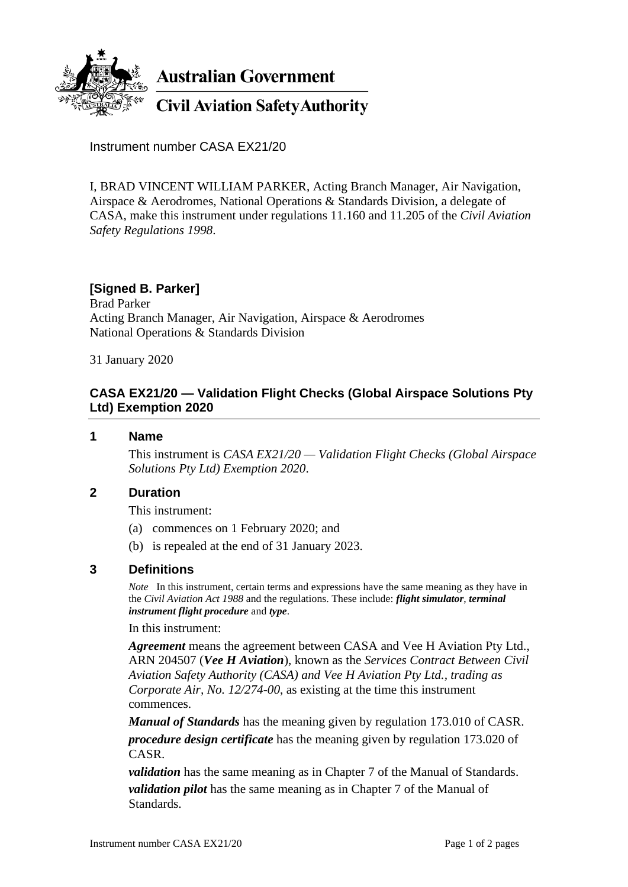

**Australian Government** 

**Civil Aviation Safety Authority** 

Instrument number CASA EX21/20

I, BRAD VINCENT WILLIAM PARKER, Acting Branch Manager, Air Navigation, Airspace & Aerodromes, National Operations & Standards Division, a delegate of CASA, make this instrument under regulations 11.160 and 11.205 of the *Civil Aviation Safety Regulations 1998*.

# **[Signed B. Parker]**

Brad Parker Acting Branch Manager, Air Navigation, Airspace & Aerodromes National Operations & Standards Division

31 January 2020

## **CASA EX21/20 — Validation Flight Checks (Global Airspace Solutions Pty Ltd) Exemption 2020**

#### **1 Name**

This instrument is *CASA EX21/20 — Validation Flight Checks (Global Airspace Solutions Pty Ltd) Exemption 2020*.

### **2 Duration**

This instrument:

- (a) commences on 1 February 2020; and
- (b) is repealed at the end of 31 January 2023.

### **3 Definitions**

*Note* In this instrument, certain terms and expressions have the same meaning as they have in the *Civil Aviation Act 1988* and the regulations. These include: *flight simulator*, *terminal instrument flight procedure* and *type*.

#### In this instrument:

*Agreement* means the agreement between CASA and Vee H Aviation Pty Ltd., ARN 204507 (*Vee H Aviation*), known as the *Services Contract Between Civil Aviation Safety Authority (CASA) and Vee H Aviation Pty Ltd., trading as Corporate Air, No. 12/274-00*, as existing at the time this instrument commences.

*Manual of Standards* has the meaning given by regulation 173.010 of CASR. *procedure design certificate* has the meaning given by regulation 173.020 of CASR.

*validation* has the same meaning as in Chapter 7 of the Manual of Standards. *validation pilot* has the same meaning as in Chapter 7 of the Manual of Standards.